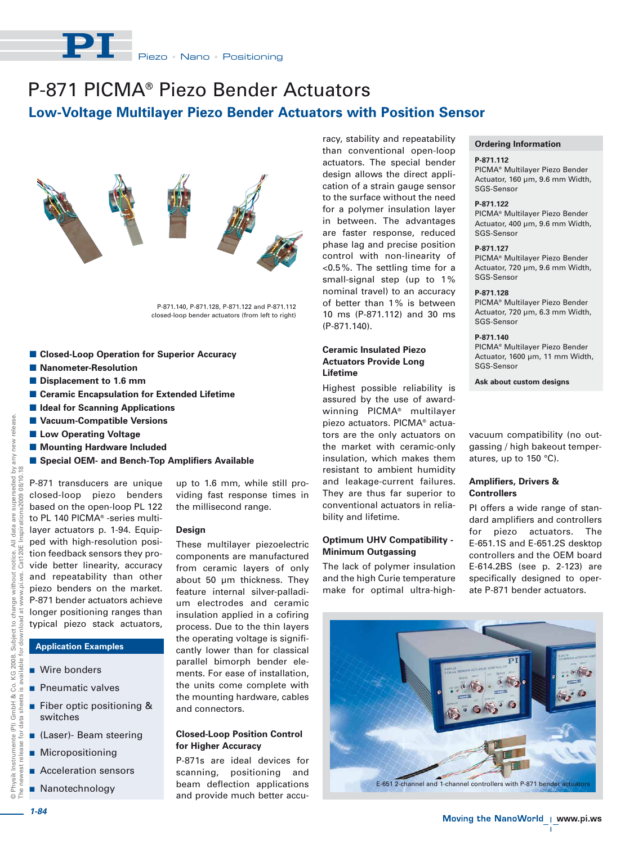

# P-871 PICMA® Piezo Bender Actuators **Low-Voltage Multilayer Piezo Bender Actuators with Position Sensor**



P-871.140, P-871.128, P-871.122 and P-871.112 closed-loop bender actuators (from left to right)

- Closed-Loop Operation for Superior Accuracy
- $\blacksquare$  Nanometer-Resolution
- $\blacksquare$  Displacement to 1.6 mm
- Ceramic Encapsulation for Extended Lifetime
- $\blacksquare$  **Ideal for Scanning Applications**
- **E** Vacuum-Compatible Versions
- **E Low Operating Voltage**
- $\blacksquare$  **Mounting Hardware Included**
- **E** Special OEM- and Bench-Top Amplifiers Available

 $\frac{1}{2}$ The newest release for data sheets is available for download at www.pi.ws. Cat120E Inspirations2009 08/10.18seded<br>08/10.1 P-871 transducers are unique a are superse<br>rations2009 ( closed-loop piezo benders based on the open-loop PL 122 to PL 140 PICMA® -series multilayer actuators p. 1-94. Equipi, notice. All c<br>Cat120E Ins. ped with high-resolution position feedback sensors they provide better linearity, accuracy and repeatability than other š, ö piezo benders on the market. www. P-871 bender actuators achieve  $\frac{1}{6}$ longer positioning ranges than load typical piezo stack actuators, **Application Examples**  $\overline{\sigma}$ c Co. KG 2008.<br>s is available f

**Nire bonders** 

© Physik Instrumente (PI) GmbH & Co. KG 2008. Subject to change without notice. All data are superseded by any new release.

Subject to change without

2008.

GmbH & data sheets  $($ Pl $)$ ð,

Physik Instrumente release vest

data

any new release.

- **Pheumatic valves**
- **Fiber optic positioning &** switches
- (Laser)- Beam steering
- **Micropositioning**
- **E** Acceleration sensors
- **Nanotechnology**

up to 1.6 mm, while still providing fast response times in the millisecond range.

# **Design**

These multilayer piezoelectric components are manufactured from ceramic layers of only about 50 um thickness. They feature internal silver-palladium electrodes and ceramic insulation applied in a cofiring process. Due to the thin layers the operating voltage is significantly lower than for classical parallel bimorph bender elements. For ease of installation, the units come complete with the mounting hardware, cables and connectors.

## **Closed-Loop Position Control for Higher Accuracy**

P-871s are ideal devices for scanning, positioning and beam deflection applications and provide much better accuracy, stability and repeatability than conventional open-loop actuators. The special bender design allows the direct application of a strain gauge sensor to the surface without the need for a polymer insulation layer in between. The advantages are faster response, reduced phase lag and precise position control with non-linearity of <0.5 %. The settling time for a small-signal step (up to 1% nominal travel) to an accuracy of better than 1% is between 10 ms (P-871.112) and 30 ms (P-871.140).

# **Ceramic Insulated Piezo Actuators Provide Long Lifetime**

Highest possible reliability is assured by the use of awardwinning PICMA® multilayer piezo actuators. PICMA® actuators are the only actuators on the market with ceramic-only insulation, which makes them resistant to ambient humidity and leakage-current failures. They are thus far superior to conventional actuators in reliability and lifetime.

# **Optimum UHV Compatibility - Minimum Outgassing**

The lack of polymer insulation and the high Curie temperature make for optimal ultra-high-

# **Ordering Information**

#### **P-871.112**

PICMA® Multilayer Piezo Bender Actuator, 160 µm, 9.6 mm Width, SGS-Sensor

#### **P-871.122**

PICMA® Multilayer Piezo Bender Actuator, 400 µm, 9.6 mm Width, SGS-Sensor

### **P-871.127**

PICMA® Multilayer Piezo Bender Actuator, 720 µm, 9.6 mm Width, SGS-Sensor

# **P-871.128**

PICMA® Multilayer Piezo Bender Actuator, 720 µm, 6.3 mm Width, SGS-Sensor

#### **P-871.140**

PICMA® Multilayer Piezo Bender Actuator, 1600 µm, 11 mm Width, SGS-Sensor

**Ask about custom designs**

vacuum compatibility (no outgassing / high bakeout temperatures, up to 150 °C).

# **Amplifiers, Drivers & Controllers**

PI offers a wide range of standard amplifiers and controllers for piezo actuators. The E-651.1S and E-651.2S desktop controllers and the OEM board E-614.2BS (see p. 2-123) are specifically designed to operate P-871 bender actuators.